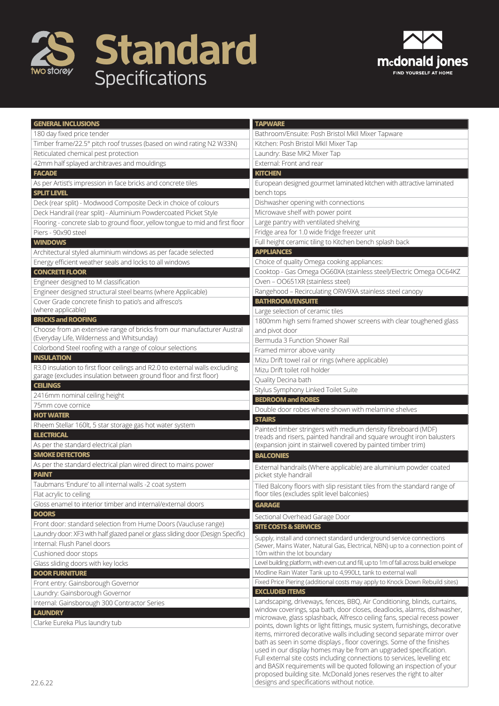



| <b>GENERAL INCLUSIONS</b>                                                        | <b>TAPWARE</b>                                                                                                                                         |
|----------------------------------------------------------------------------------|--------------------------------------------------------------------------------------------------------------------------------------------------------|
| 180 day fixed price tender                                                       | Bathroom/Ensuite: Posh Bristol MkII Mixer Tapware                                                                                                      |
| Timber frame/22.5° pitch roof trusses (based on wind rating N2 W33N)             | Kitchen: Posh Bristol MkII Mixer Tap                                                                                                                   |
| Reticulated chemical pest protection                                             | Laundry: Base MK2 Mixer Tap                                                                                                                            |
| 42mm half splayed architraves and mouldings                                      | External: Front and rear                                                                                                                               |
| <b>FACADE</b>                                                                    | <b>KITCHEN</b>                                                                                                                                         |
| As per Artist's impression in face bricks and concrete tiles                     | European designed gourmet laminated kitchen with attractive laminated                                                                                  |
| <b>SPLIT LEVEL</b>                                                               | bench tops                                                                                                                                             |
| Deck (rear split) - Modwood Composite Deck in choice of colours                  | Dishwasher opening with connections                                                                                                                    |
| Deck Handrail (rear split) - Aluminium Powdercoated Picket Style                 | Microwave shelf with power point                                                                                                                       |
| Flooring - concrete slab to ground floor, yellow tongue to mid and first floor   | Large pantry with ventilated shelving                                                                                                                  |
| Piers - 90x90 steel                                                              | Fridge area for 1.0 wide fridge freezer unit                                                                                                           |
| <b>WINDOWS</b>                                                                   | Full height ceramic tiling to Kitchen bench splash back                                                                                                |
| Architectural styled aluminium windows as per facade selected                    | <b>APPLIANCES</b>                                                                                                                                      |
| Energy efficient weather seals and locks to all windows                          | Choice of quality Omega cooking appliances:                                                                                                            |
| <b>CONCRETE FLOOR</b>                                                            | Cooktop - Gas Omega OG60XA (stainless steel)/Electric Omega OC64KZ                                                                                     |
| Engineer designed to M classification                                            | Oven - OO651XR (stainless steel)                                                                                                                       |
| Engineer designed structural steel beams (where Applicable)                      | Rangehood - Recirculating ORW9XA stainless steel canopy                                                                                                |
| Cover Grade concrete finish to patio's and alfresco's                            | <b>BATHROOM/ENSUITE</b>                                                                                                                                |
| (where applicable)                                                               | Large selection of ceramic tiles                                                                                                                       |
| <b>BRICKS and ROOFING</b>                                                        | 1800mm high semi framed shower screens with clear toughened glass                                                                                      |
| Choose from an extensive range of bricks from our manufacturer Austral           | and pivot door                                                                                                                                         |
| (Everyday Life, Wilderness and Whitsunday)                                       | Bermuda 3 Function Shower Rail                                                                                                                         |
| Colorbond Steel roofing with a range of colour selections                        | Framed mirror above vanity                                                                                                                             |
| <b>INSULATION</b>                                                                | Mizu Drift towel rail or rings (where applicable)                                                                                                      |
| R3.0 insulation to first floor ceilings and R2.0 to external walls excluding     | Mizu Drift toilet roll holder                                                                                                                          |
| garage (excludes insulation between ground floor and first floor)                | Quality Decina bath                                                                                                                                    |
| <b>CEILINGS</b>                                                                  | Stylus Symphony Linked Toilet Suite                                                                                                                    |
| 2416mm nominal ceiling height                                                    | <b>BEDROOM and ROBES</b>                                                                                                                               |
| 75mm cove cornice                                                                | Double door robes where shown with melamine shelves                                                                                                    |
| <b>HOT WATER</b>                                                                 | <b>STAIRS</b>                                                                                                                                          |
| Rheem Stellar 160lt, 5 star storage gas hot water system<br><b>ELECTRICAL</b>    | Painted timber stringers with medium density fibreboard (MDF)                                                                                          |
| As per the standard electrical plan                                              | treads and risers, painted handrail and square wrought iron balusters<br>(expansion joint in stairwell covered by painted timber trim)                 |
| <b>SMOKE DETECTORS</b>                                                           |                                                                                                                                                        |
| As per the standard electrical plan wired direct to mains power                  | <b>BALCONIES</b>                                                                                                                                       |
| <b>PAINT</b>                                                                     | External handrails (Where applicable) are aluminium powder coated<br>picket style handrail                                                             |
| Taubmans 'Endure' to all internal walls -2 coat system                           |                                                                                                                                                        |
| Flat acrylic to ceiling                                                          | Tiled Balcony floors with slip resistant tiles from the standard range of<br>floor tiles (excludes split level balconies)                              |
| Gloss enamel to interior timber and internal/external doors                      | <b>GARAGE</b>                                                                                                                                          |
| <b>DOORS</b>                                                                     |                                                                                                                                                        |
| Front door: standard selection from Hume Doors (Vaucluse range)                  | Sectional Overhead Garage Door                                                                                                                         |
| Laundry door: XF3 with half glazed panel or glass sliding door (Design Specific) | <b>SITE COSTS &amp; SERVICES</b>                                                                                                                       |
| Internal: Flush Panel doors                                                      | Supply, install and connect standard underground service connections<br>(Sewer, Mains Water, Natural Gas, Electrical, NBN) up to a connection point of |
| Cushioned door stops                                                             | 10m within the lot boundary                                                                                                                            |
| Glass sliding doors with key locks                                               | Level building platform, with even cut and fill, up to 1m of fall across build envelope                                                                |
| <b>DOOR FURNITURE</b>                                                            | Modline Rain Water Tank up to 4,990Lt, tank to external wall                                                                                           |
| Front entry: Gainsborough Governor                                               | Fixed Price Piering (additional costs may apply to Knock Down Rebuild sites)                                                                           |
| Laundry: Gainsborough Governor                                                   | <b>EXCLUDED ITEMS</b>                                                                                                                                  |
| Internal: Gainsborough 300 Contractor Series                                     | Landscaping, driveways, fences, BBQ, Air Conditioning, blinds, curtains,                                                                               |
| <b>LAUNDRY</b>                                                                   | window coverings, spa bath, door closes, deadlocks, alarms, dishwasher,                                                                                |
| Clarke Eureka Plus laundry tub                                                   | microwave, glass splashback, Alfresco ceiling fans, special recess power                                                                               |
|                                                                                  | points, down lights or light fittings, music system, furnishings, decorative<br>items, mirrored decorative walls including second separate mirror over |
|                                                                                  | bath as seen in some displays, floor coverings. Some of the finishes                                                                                   |
|                                                                                  | used in our display homes may be from an upgraded specification.                                                                                       |
|                                                                                  | Full external site costs including connections to services, levelling etc                                                                              |

and BASIX requirements will be quoted following an inspection of your proposed building site. McDonald Jones reserves the right to alter